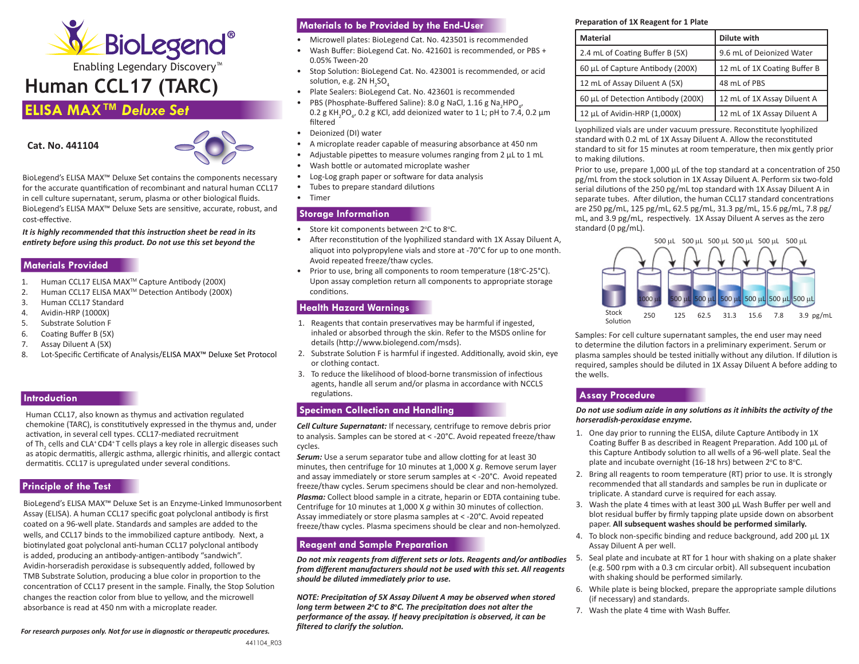

# **Human CCL17 (TARC)**

# **ELISA MAX™** *Deluxe Set*

**Cat. No. 441104** 



BioLegend's ELISA MAX™ Deluxe Set contains the components necessary for the accurate quantification of recombinant and natural human CCL17 in cell culture supernatant, serum, plasma or other biological fluids. BioLegend's ELISA MAX™ Deluxe Sets are sensitive, accurate, robust, and cost-effective.

*It is highly recommended that this instruction sheet be read in its entirety before using this product. Do not use this set beyond the* 

#### **Materials Provided**

- 1. Human CCL17 ELISA MAX<sup>™</sup> Capture Antibody (200X)
- 2. Human CCL17 ELISA MAX<sup>™</sup> Detection Antibody (200X)
- 3. Human CCL17 Standard
- 4. Avidin-HRP (1000X)
- 5. Substrate Solution F
- 6. Coating Buffer B (5X)
- 7. Assay Diluent A (5X)
- 8. Lot-Specific Certificate of Analysis/ELISA MAX™ Deluxe Set Protocol

# **Introduction**

Human CCL17, also known as thymus and activation regulated chemokine (TARC), is constitutively expressed in the thymus and, under activation, in several cell types. CCL17-mediated recruitment of Th<sub>2</sub> cells and CLA<sup>+</sup>CD4<sup>+</sup>T cells plays a key role in allergic diseases such as atopic dermatitis, allergic asthma, allergic rhinitis, and allergic contact dermatitis. CCL17 is upregulated under several conditions.

# **Principle of the Test**

BioLegend's ELISA MAX™ Deluxe Set is an Enzyme-Linked Immunosorbent Assay (ELISA). A human CCL17 specific goat polyclonal antibody is first coated on a 96-well plate. Standards and samples are added to the wells, and CCL17 binds to the immobilized capture antibody. Next, a biotinylated goat polyclonal anti-human CCL17 polyclonal antibody is added, producing an antibody-antigen-antibody "sandwich". Avidin-horseradish peroxidase is subsequently added, followed by TMB Substrate Solution, producing a blue color in proportion to the concentration of CCL17 present in the sample. Finally, the Stop Solution changes the reaction color from blue to yellow, and the microwell absorbance is read at 450 nm with a microplate reader.

*For research purposes only. Not for use in diagnostic or therapeutic procedures.*

# **Materials to be Provided by the End-User**

- Microwell plates: BioLegend Cat. No. 423501 is recommended
- Wash Buffer: BioLegend Cat. No. 421601 is recommended, or PBS + 0.05% Tween-20
- Stop Solution: BioLegend Cat. No. 423001 is recommended, or acid solution, e.g. 2N  $H_2$ SO $_4$
- Plate Sealers: BioLegend Cat. No. 423601 is recommended
- PBS (Phosphate-Buffered Saline): 8.0 g NaCl, 1.16 g Na<sub>2</sub>HPO<sub>4</sub>,  $0.2$  g KH<sub>2</sub>PO<sub>4</sub>, 0.2 g KCl, add deionized water to 1 L; pH to 7.4, 0.2 μm filtered
- Deionized (DI) water
- A microplate reader capable of measuring absorbance at 450 nm
- Adjustable pipettes to measure volumes ranging from 2 μL to 1 mL
- Wash bottle or automated microplate washer
- Log-Log graph paper or software for data analysis
- Tubes to prepare standard dilutions
- Timer

# **Storage Information**

- Store kit components between 2°C to 8°C.
- After reconstitution of the lyophilized standard with 1X Assay Diluent A, aliquot into polypropylene vials and store at -70°C for up to one month. Avoid repeated freeze/thaw cycles.
- Prior to use, bring all components to room temperature (18°C-25°C). Upon assay completion return all components to appropriate storage conditions.

# **Health Hazard Warnings**

- 1. Reagents that contain preservatives may be harmful if ingested, inhaled or absorbed through the skin. Refer to the MSDS online for details (http://www.biolegend.com/msds).
- 2. Substrate Solution F is harmful if ingested. Additionally, avoid skin, eye or clothing contact.
- 3. To reduce the likelihood of blood-borne transmission of infectious agents, handle all serum and/or plasma in accordance with NCCLS regulations.

# **Specimen Collection and Handling**

*Cell Culture Supernatant:* If necessary, centrifuge to remove debris prior to analysis. Samples can be stored at < -20°C. Avoid repeated freeze/thaw cycles.

**Serum:** Use a serum separator tube and allow clotting for at least 30 minutes, then centrifuge for 10 minutes at 1,000 X *g*. Remove serum layer and assay immediately or store serum samples at < -20°C. Avoid repeated freeze/thaw cycles. Serum specimens should be clear and non-hemolyzed. *Plasma:* Collect blood sample in a citrate, heparin or EDTA containing tube. Centrifuge for 10 minutes at 1,000 X *g* within 30 minutes of collection. Assay immediately or store plasma samples at < -20°C. Avoid repeated freeze/thaw cycles. Plasma specimens should be clear and non-hemolyzed.

# **Reagent and Sample Preparation**

*Do not mix reagents from different sets or lots. Reagents and/or antibodies from different manufacturers should not be used with this set. All reagents should be diluted immediately prior to use.*

*NOTE: Precipitation of 5X Assay Diluent A may be observed when stored*  long term between 2°C to 8°C. The precipitation does not alter the *performance of the assay. If heavy precipitation is observed, it can be filtered to clarify the solution.*

#### **Preparation of 1X Reagent for 1 Plate**

| Material                           | <b>Dilute with</b>           |
|------------------------------------|------------------------------|
| 2.4 mL of Coating Buffer B (5X)    | 9.6 mL of Deionized Water    |
| 60 µL of Capture Antibody (200X)   | 12 mL of 1X Coating Buffer B |
| 12 mL of Assay Diluent A (5X)      | 48 mL of PBS                 |
| 60 µL of Detection Antibody (200X) | 12 mL of 1X Assay Diluent A  |
| 12 µL of Avidin-HRP (1,000X)       | 12 mL of 1X Assay Diluent A  |

Lyophilized vials are under vacuum pressure. Reconstitute lyophilized standard with 0.2 mL of 1X Assay Diluent A. Allow the reconstituted standard to sit for 15 minutes at room temperature, then mix gently prior to making dilutions.

Prior to use, prepare 1,000 μL of the top standard at a concentration of 250 pg/mL from the stock solution in 1X Assay Diluent A. Perform six two-fold serial dilutions of the 250 pg/mL top standard with 1X Assay Diluent A in separate tubes. After dilution, the human CCL17 standard concentrations are 250 pg/mL, 125 pg/mL, 62.5 pg/mL, 31.3 pg/mL, 15.6 pg/mL, 7.8 pg/ mL, and 3.9 pg/mL, respectively. 1X Assay Diluent A serves as the zero standard (0 pg/mL).



Samples: For cell culture supernatant samples, the end user may need to determine the dilution factors in a preliminary experiment. Serum or plasma samples should be tested initially without any dilution. If dilution is required, samples should be diluted in 1X Assay Diluent A before adding to the wells.

# **Assay Procedure**

*Do not use sodium azide in any solutions as it inhibits the activity of the horseradish-peroxidase enzyme.* 

- 1. One day prior to running the ELISA, dilute Capture Antibody in 1X Coating Buffer B as described in Reagent Preparation. Add 100 μL of this Capture Antibody solution to all wells of a 96-well plate. Seal the plate and incubate overnight (16-18 hrs) between 2°C to 8°C.
- 2. Bring all reagents to room temperature (RT) prior to use. It is strongly recommended that all standards and samples be run in duplicate or triplicate. A standard curve is required for each assay.
- 3. Wash the plate 4 times with at least 300 μL Wash Buffer per well and blot residual buffer by firmly tapping plate upside down on absorbent paper. **All subsequent washes should be performed similarly.**
- 4. To block non-specific binding and reduce background, add 200 μL 1X Assay Diluent A per well.
- 5. Seal plate and incubate at RT for 1 hour with shaking on a plate shaker (e.g. 500 rpm with a 0.3 cm circular orbit). All subsequent incubation with shaking should be performed similarly.
- 6. While plate is being blocked, prepare the appropriate sample dilutions (if necessary) and standards.
- 7. Wash the plate 4 time with Wash Buffer.